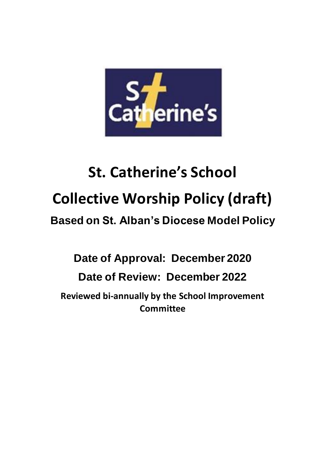

# **St. Catherine's School Collective Worship Policy (draft)**

## **Based on St. Alban's Diocese Model Policy**

## **Date of Approval: December 2020**

### **Date of Review: December 2022**

**Reviewed bi-annually by the School Improvement Committee**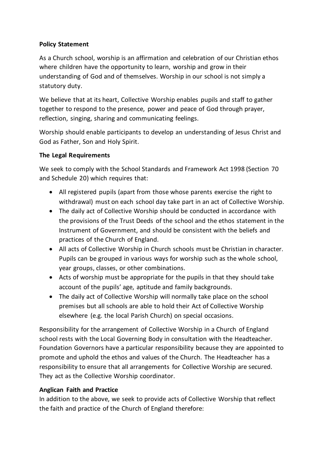#### **Policy Statement**

As a Church school, worship is an affirmation and celebration of our Christian ethos where children have the opportunity to learn, worship and grow in their understanding of God and of themselves. Worship in our school is not simply a statutory duty.

We believe that at its heart, Collective Worship enables pupils and staff to gather together to respond to the presence, power and peace of God through prayer, reflection, singing, sharing and communicating feelings.

Worship should enable participants to develop an understanding of Jesus Christ and God as Father, Son and Holy Spirit.

#### **The Legal Requirements**

We seek to comply with the School Standards and Framework Act 1998 (Section 70 and Schedule 20) which requires that:

- All registered pupils (apart from those whose parents exercise the right to withdrawal) must on each school day take part in an act of Collective Worship.
- The daily act of Collective Worship should be conducted in accordance with the provisions of the Trust Deeds of the school and the ethos statement in the Instrument of Government, and should be consistent with the beliefs and practices of the Church of England.
- All acts of Collective Worship in Church schools must be Christian in character. Pupils can be grouped in various ways for worship such as the whole school, year groups, classes, or other combinations.
- Acts of worship must be appropriate for the pupils in that they should take account of the pupils' age, aptitude and family backgrounds.
- The daily act of Collective Worship will normally take place on the school premises but all schools are able to hold their Act of Collective Worship elsewhere (e.g. the local Parish Church) on special occasions.

Responsibility for the arrangement of Collective Worship in a Church of England school rests with the Local Governing Body in consultation with the Headteacher. Foundation Governors have a particular responsibility because they are appointed to promote and uphold the ethos and values of the Church. The Headteacher has a responsibility to ensure that all arrangements for Collective Worship are secured. They act as the Collective Worship coordinator.

#### **Anglican Faith and Practice**

In addition to the above, we seek to provide acts of Collective Worship that reflect the faith and practice of the Church of England therefore: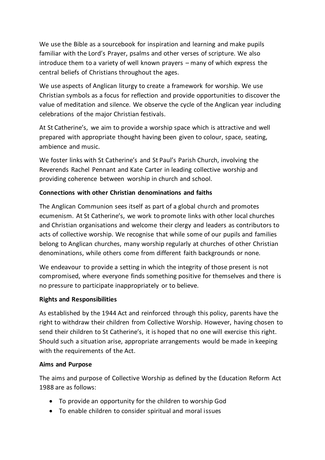We use the Bible as a sourcebook for inspiration and learning and make pupils familiar with the Lord's Prayer, psalms and other verses of scripture. We also introduce them to a variety of well known prayers – many of which express the central beliefs of Christians throughout the ages.

We use aspects of Anglican liturgy to create a framework for worship. We use Christian symbols as a focus for reflection and provide opportunities to discover the value of meditation and silence. We observe the cycle of the Anglican year including celebrations of the major Christian festivals.

At St Catherine's, we aim to provide a worship space which is attractive and well prepared with appropriate thought having been given to colour, space, seating, ambience and music.

We foster links with St Catherine's and St Paul's Parish Church, involving the Reverends Rachel Pennant and Kate Carter in leading collective worship and providing coherence between worship in church and school.

#### **Connections with other Christian denominations and faiths**

The Anglican Communion sees itself as part of a global church and promotes ecumenism. At St Catherine's, we work to promote links with other local churches and Christian organisations and welcome their clergy and leaders as contributors to acts of collective worship. We recognise that while some of our pupils and families belong to Anglican churches, many worship regularly at churches of other Christian denominations, while others come from different faith backgrounds or none.

We endeavour to provide a setting in which the integrity of those present is not compromised, where everyone finds something positive for themselves and there is no pressure to participate inappropriately or to believe.

#### **Rights and Responsibilities**

As established by the 1944 Act and reinforced through this policy, parents have the right to withdraw their children from Collective Worship. However, having chosen to send their children to St Catherine's, it is hoped that no one will exercise this right. Should such a situation arise, appropriate arrangements would be made in keeping with the requirements of the Act.

#### **Aims and Purpose**

The aims and purpose of Collective Worship as defined by the Education Reform Act 1988 are as follows:

- To provide an opportunity for the children to worship God
- To enable children to consider spiritual and moral issues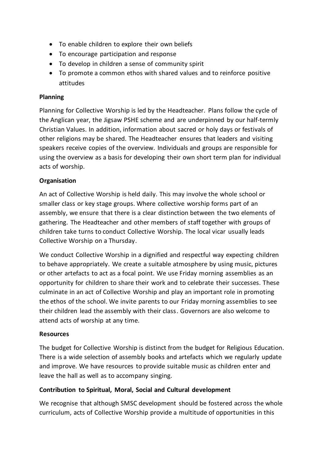- To enable children to explore their own beliefs
- To encourage participation and response
- To develop in children a sense of community spirit
- To promote a common ethos with shared values and to reinforce positive attitudes

#### **Planning**

Planning for Collective Worship is led by the Headteacher. Plans follow the cycle of the Anglican year, the Jigsaw PSHE scheme and are underpinned by our half-termly Christian Values. In addition, information about sacred or holy days or festivals of other religions may be shared. The Headteacher ensures that leaders and visiting speakers receive copies of the overview. Individuals and groups are responsible for using the overview as a basis for developing their own short term plan for individual acts of worship.

#### **Organisation**

An act of Collective Worship is held daily. This may involve the whole school or smaller class or key stage groups. Where collective worship forms part of an assembly, we ensure that there is a clear distinction between the two elements of gathering. The Headteacher and other members of staff together with groups of children take turns to conduct Collective Worship. The local vicar usually leads Collective Worship on a Thursday.

We conduct Collective Worship in a dignified and respectful way expecting children to behave appropriately. We create a suitable atmosphere by using music, pictures or other artefacts to act as a focal point. We use Friday morning assemblies as an opportunity for children to share their work and to celebrate their successes. These culminate in an act of Collective Worship and play an important role in promoting the ethos of the school. We invite parents to our Friday morning assemblies to see their children lead the assembly with their class. Governors are also welcome to attend acts of worship at any time.

#### **Resources**

The budget for Collective Worship is distinct from the budget for Religious Education. There is a wide selection of assembly books and artefacts which we regularly update and improve. We have resources to provide suitable music as children enter and leave the hall as well as to accompany singing.

#### **Contribution to Spiritual, Moral, Social and Cultural development**

We recognise that although SMSC development should be fostered across the whole curriculum, acts of Collective Worship provide a multitude of opportunities in this